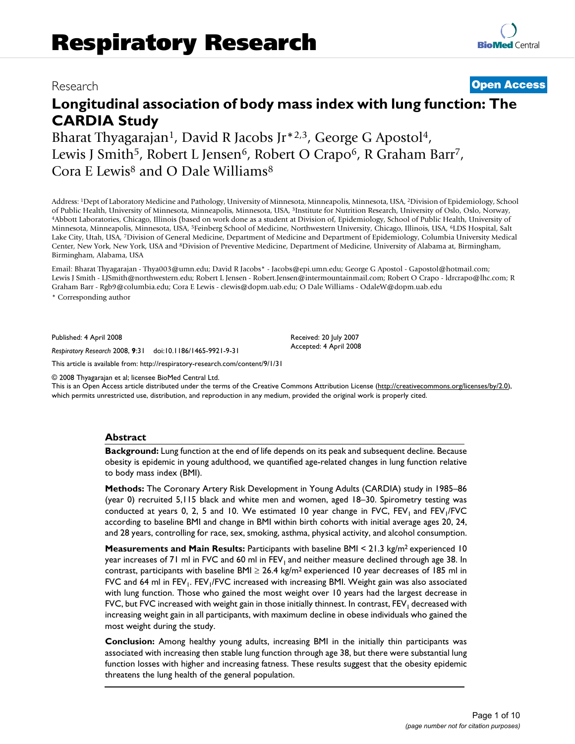# Research **[Open Access](http://www.biomedcentral.com/info/about/charter/)**

# **Longitudinal association of body mass index with lung function: The CARDIA Study**

Bharat Thyagarajan<sup>1</sup>, David R Jacobs Jr<sup>\*2,3</sup>, George G Apostol<sup>4</sup>, Lewis J Smith<sup>5</sup>, Robert L Jensen<sup>6</sup>, Robert O Crapo<sup>6</sup>, R Graham Barr<sup>7</sup>, Cora E Lewis8 and O Dale Williams8

Address: <sup>1</sup>Dept of Laboratory Medicine and Pathology, University of Minnesota, Minneapolis, Minnesota, USA, <sup>2</sup>Division of Epidemiology, School of Public Health, University of Minnesota, Minneapolis, Minnesota, USA, <sup>3</sup>In 4Abbott Laboratories, Chicago, Illinois (based on work done as a student at Division of, Epidemiology, School of Public Health, University of Minnesota, Minneapolis, Minnesota, USA, 5Feinberg School of Medicine, Northwestern University, Chicago, Illinois, USA, 6LDS Hospital, Salt Lake City, Utah, USA, 7Division of General Medicine, Department of Medicine and Department of Epidemiology, Columbia University Medical Center, New York, New York, USA and 8Division of Preventive Medicine, Department of Medicine, University of Alabama at, Birmingham, Birmingham, Alabama, USA

Email: Bharat Thyagarajan - Thya003@umn.edu; David R Jacobs\* - Jacobs@epi.umn.edu; George G Apostol - Gapostol@hotmail.com; Lewis J Smith - LJSmith@northwestern.edu; Robert L Jensen - Robert.Jensen@intermountainmail.com; Robert O Crapo - ldrcrapo@lhc.com; R Graham Barr - Rgb9@columbia.edu; Cora E Lewis - clewis@dopm.uab.edu; O Dale Williams - OdaleW@dopm.uab.edu

> Received: 20 July 2007 Accepted: 4 April 2008

\* Corresponding author

Published: 4 April 2008

*Respiratory Research* 2008, **9**:31 doi:10.1186/1465-9921-9-31

[This article is available from: http://respiratory-research.com/content/9/1/31](http://respiratory-research.com/content/9/1/31)

© 2008 Thyagarajan et al; licensee BioMed Central Ltd.

This is an Open Access article distributed under the terms of the Creative Commons Attribution License [\(http://creativecommons.org/licenses/by/2.0\)](http://creativecommons.org/licenses/by/2.0), which permits unrestricted use, distribution, and reproduction in any medium, provided the original work is properly cited.

#### **Abstract**

**Background:** Lung function at the end of life depends on its peak and subsequent decline. Because obesity is epidemic in young adulthood, we quantified age-related changes in lung function relative to body mass index (BMI).

**Methods:** The Coronary Artery Risk Development in Young Adults (CARDIA) study in 1985–86 (year 0) recruited 5,115 black and white men and women, aged 18–30. Spirometry testing was conducted at years 0, 2, 5 and 10. We estimated 10 year change in FVC,  $FEV<sub>1</sub>$  and  $FEV<sub>1</sub>/FVC$ according to baseline BMI and change in BMI within birth cohorts with initial average ages 20, 24, and 28 years, controlling for race, sex, smoking, asthma, physical activity, and alcohol consumption.

**Measurements and Main Results:** Participants with baseline BMI < 21.3 kg/m2 experienced 10 year increases of 71 ml in FVC and 60 ml in FEV<sub>1</sub> and neither measure declined through age 38. In contrast, participants with baseline BMI  $\geq$  26.4 kg/m<sup>2</sup> experienced 10 year decreases of 185 ml in FVC and 64 ml in  $FEV_1$ .  $FEV_1/FVC$  increased with increasing BMI. Weight gain was also associated with lung function. Those who gained the most weight over 10 years had the largest decrease in FVC, but FVC increased with weight gain in those initially thinnest. In contrast,  $FEV<sub>1</sub>$  decreased with increasing weight gain in all participants, with maximum decline in obese individuals who gained the most weight during the study.

**Conclusion:** Among healthy young adults, increasing BMI in the initially thin participants was associated with increasing then stable lung function through age 38, but there were substantial lung function losses with higher and increasing fatness. These results suggest that the obesity epidemic threatens the lung health of the general population.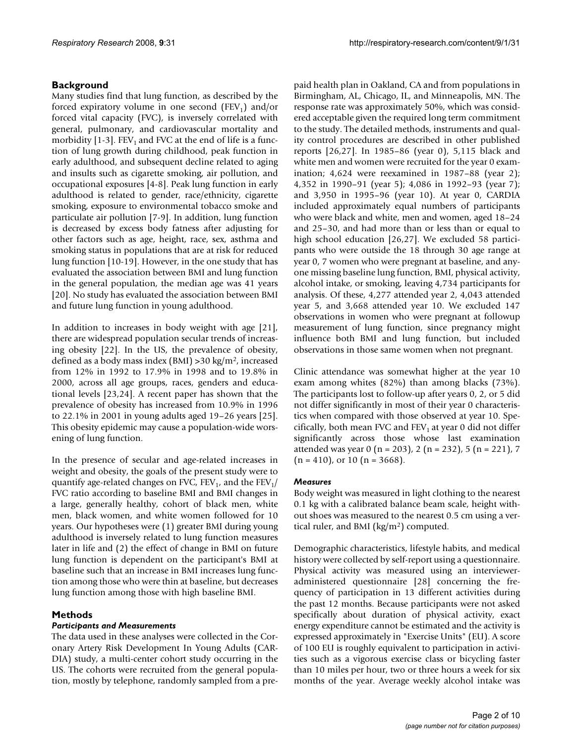# **Background**

Many studies find that lung function, as described by the forced expiratory volume in one second  $(FEV_1)$  and/or forced vital capacity (FVC), is inversely correlated with general, pulmonary, and cardiovascular mortality and morbidity [1-3]. FEV<sub>1</sub> and FVC at the end of life is a function of lung growth during childhood, peak function in early adulthood, and subsequent decline related to aging and insults such as cigarette smoking, air pollution, and occupational exposures [4-8]. Peak lung function in early adulthood is related to gender, race/ethnicity, cigarette smoking, exposure to environmental tobacco smoke and particulate air pollution [7-9]. In addition, lung function is decreased by excess body fatness after adjusting for other factors such as age, height, race, sex, asthma and smoking status in populations that are at risk for reduced lung function [10-19]. However, in the one study that has evaluated the association between BMI and lung function in the general population, the median age was 41 years [20]. No study has evaluated the association between BMI and future lung function in young adulthood.

In addition to increases in body weight with age [21], there are widespread population secular trends of increasing obesity [22]. In the US, the prevalence of obesity, defined as a body mass index (BMI) >30 kg/m2, increased from 12% in 1992 to 17.9% in 1998 and to 19.8% in 2000, across all age groups, races, genders and educational levels [23,24]. A recent paper has shown that the prevalence of obesity has increased from 10.9% in 1996 to 22.1% in 2001 in young adults aged 19–26 years [25]. This obesity epidemic may cause a population-wide worsening of lung function.

In the presence of secular and age-related increases in weight and obesity, the goals of the present study were to quantify age-related changes on FVC, FEV<sub>1</sub>, and the FEV<sub>1</sub>/ FVC ratio according to baseline BMI and BMI changes in a large, generally healthy, cohort of black men, white men, black women, and white women followed for 10 years. Our hypotheses were (1) greater BMI during young adulthood is inversely related to lung function measures later in life and (2) the effect of change in BMI on future lung function is dependent on the participant's BMI at baseline such that an increase in BMI increases lung function among those who were thin at baseline, but decreases lung function among those with high baseline BMI.

# **Methods**

# *Participants and Measurements*

The data used in these analyses were collected in the Coronary Artery Risk Development In Young Adults (CAR-DIA) study, a multi-center cohort study occurring in the US. The cohorts were recruited from the general population, mostly by telephone, randomly sampled from a prepaid health plan in Oakland, CA and from populations in Birmingham, AL, Chicago, IL, and Minneapolis, MN. The response rate was approximately 50%, which was considered acceptable given the required long term commitment to the study. The detailed methods, instruments and quality control procedures are described in other published reports [26,27]. In 1985–86 (year 0), 5,115 black and white men and women were recruited for the year 0 examination; 4,624 were reexamined in 1987–88 (year 2); 4,352 in 1990–91 (year 5); 4,086 in 1992–93 (year 7); and 3,950 in 1995–96 (year 10). At year 0, CARDIA included approximately equal numbers of participants who were black and white, men and women, aged 18–24 and 25–30, and had more than or less than or equal to high school education [26,27]. We excluded 58 participants who were outside the 18 through 30 age range at year 0, 7 women who were pregnant at baseline, and anyone missing baseline lung function, BMI, physical activity, alcohol intake, or smoking, leaving 4,734 participants for analysis. Of these, 4,277 attended year 2, 4,043 attended year 5, and 3,668 attended year 10. We excluded 147 observations in women who were pregnant at followup measurement of lung function, since pregnancy might influence both BMI and lung function, but included observations in those same women when not pregnant.

Clinic attendance was somewhat higher at the year 10 exam among whites (82%) than among blacks (73%). The participants lost to follow-up after years 0, 2, or 5 did not differ significantly in most of their year 0 characteristics when compared with those observed at year 10. Specifically, both mean FVC and  $FEV_1$  at year 0 did not differ significantly across those whose last examination attended was year 0 (n = 203), 2 (n = 232), 5 (n = 221), 7  $(n = 410)$ , or 10  $(n = 3668)$ .

# *Measures*

Body weight was measured in light clothing to the nearest 0.1 kg with a calibrated balance beam scale, height without shoes was measured to the nearest 0.5 cm using a vertical ruler, and BMI (kg/m<sup>2</sup>) computed.

Demographic characteristics, lifestyle habits, and medical history were collected by self-report using a questionnaire. Physical activity was measured using an intervieweradministered questionnaire [28] concerning the frequency of participation in 13 different activities during the past 12 months. Because participants were not asked specifically about duration of physical activity, exact energy expenditure cannot be estimated and the activity is expressed approximately in "Exercise Units" (EU). A score of 100 EU is roughly equivalent to participation in activities such as a vigorous exercise class or bicycling faster than 10 miles per hour, two or three hours a week for six months of the year. Average weekly alcohol intake was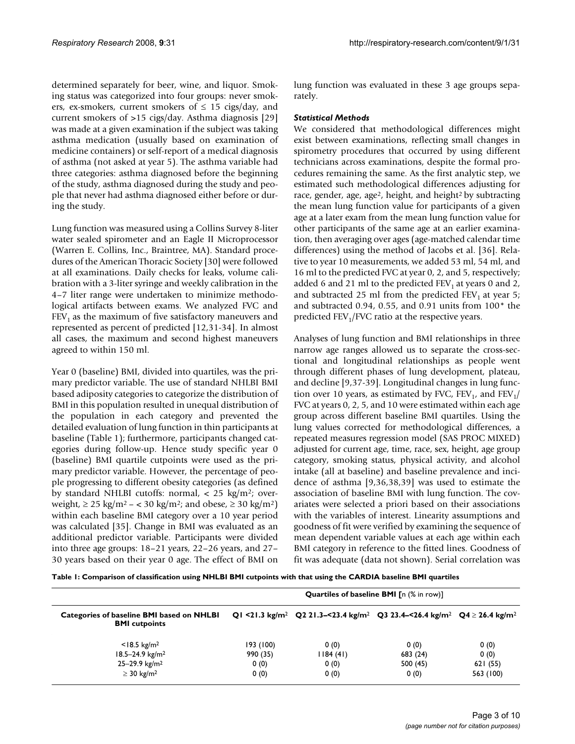determined separately for beer, wine, and liquor. Smoking status was categorized into four groups: never smokers, ex-smokers, current smokers of  $\leq$  15 cigs/day, and current smokers of >15 cigs/day. Asthma diagnosis [29] was made at a given examination if the subject was taking asthma medication (usually based on examination of medicine containers) or self-report of a medical diagnosis of asthma (not asked at year 5). The asthma variable had three categories: asthma diagnosed before the beginning of the study, asthma diagnosed during the study and people that never had asthma diagnosed either before or during the study.

Lung function was measured using a Collins Survey 8-liter water sealed spirometer and an Eagle II Microprocessor (Warren E. Collins, Inc., Braintree, MA). Standard procedures of the American Thoracic Society [[30\]](#page-9-0) were followed at all examinations. Daily checks for leaks, volume calibration with a 3-liter syringe and weekly calibration in the 4–7 liter range were undertaken to minimize methodological artifacts between exams. We analyzed FVC and  $FEV<sub>1</sub>$  as the maximum of five satisfactory maneuvers and represented as percent of predicted [12,31-34]. In almost all cases, the maximum and second highest maneuvers agreed to within 150 ml.

Year 0 (baseline) BMI, divided into quartiles, was the primary predictor variable. The use of standard NHLBI BMI based adiposity categories to categorize the distribution of BMI in this population resulted in unequal distribution of the population in each category and prevented the detailed evaluation of lung function in thin participants at baseline (Table 1); furthermore, participants changed categories during follow-up. Hence study specific year 0 (baseline) BMI quartile cutpoints were used as the primary predictor variable. However, the percentage of people progressing to different obesity categories (as defined by standard NHLBI cutoffs: normal,  $\langle 25 \text{ kg/m}^2 \rangle$ ; overweight,  $\geq$  25 kg/m<sup>2</sup> – < 30 kg/m<sup>2</sup>; and obese,  $\geq$  30 kg/m<sup>2</sup>) within each baseline BMI category over a 10 year period was calculated [35]. Change in BMI was evaluated as an additional predictor variable. Participants were divided into three age groups: 18–21 years, 22–26 years, and 27– 30 years based on their year 0 age. The effect of BMI on lung function was evaluated in these 3 age groups separately.

# *Statistical Methods*

We considered that methodological differences might exist between examinations, reflecting small changes in spirometry procedures that occurred by using different technicians across examinations, despite the formal procedures remaining the same. As the first analytic step, we estimated such methodological differences adjusting for race, gender, age, age<sup>2</sup>, height, and height<sup>2</sup> by subtracting the mean lung function value for participants of a given age at a later exam from the mean lung function value for other participants of the same age at an earlier examination, then averaging over ages (age-matched calendar time differences) using the method of Jacobs et al. [36]. Relative to year 10 measurements, we added 53 ml, 54 ml, and 16 ml to the predicted FVC at year 0, 2, and 5, respectively; added 6 and 21 ml to the predicted  $FEV<sub>1</sub>$  at years 0 and 2, and subtracted 25 ml from the predicted  $FEV<sub>1</sub>$  at year 5; and subtracted 0.94, 0.55, and 0.91 units from 100\* the predicted  $FEV<sub>1</sub>/FVC$  ratio at the respective years.

Analyses of lung function and BMI relationships in three narrow age ranges allowed us to separate the cross-sectional and longitudinal relationships as people went through different phases of lung development, plateau, and decline [9,37-39]. Longitudinal changes in lung function over 10 years, as estimated by FVC,  $FEV<sub>1</sub>$ , and  $FEV<sub>1</sub>$ FVC at years 0, 2, 5, and 10 were estimated within each age group across different baseline BMI quartiles. Using the lung values corrected for methodological differences, a repeated measures regression model (SAS PROC MIXED) adjusted for current age, time, race, sex, height, age group category, smoking status, physical activity, and alcohol intake (all at baseline) and baseline prevalence and incidence of asthma [9,36,38,39] was used to estimate the association of baseline BMI with lung function. The covariates were selected a priori based on their associations with the variables of interest. Linearity assumptions and goodness of fit were verified by examining the sequence of mean dependent variable values at each age within each BMI category in reference to the fitted lines. Goodness of fit was adequate (data not shown). Serial correlation was

**Table 1: Comparison of classification using NHLBI BMI cutpoints with that using the CARDIA baseline BMI quartiles**

| Categories of baseline BMI based on NHLBI<br><b>BMI</b> cutpoints | <b>Quartiles of baseline BMI</b> [n (% in row)] |          |                                                                                                                             |           |  |
|-------------------------------------------------------------------|-------------------------------------------------|----------|-----------------------------------------------------------------------------------------------------------------------------|-----------|--|
|                                                                   |                                                 |          | Q1 <21.3 kg/m <sup>2</sup> Q2 21.3–<23.4 kg/m <sup>2</sup> Q3 23.4–<26.4 kg/m <sup>2</sup> Q4 $\geq$ 26.4 kg/m <sup>2</sup> |           |  |
| $<$ 18.5 kg/m <sup>2</sup>                                        | 193 (100)                                       | 0(0)     | 0(0)                                                                                                                        | 0(0)      |  |
| $18.5 - 24.9$ kg/m <sup>2</sup>                                   | 990 (35)                                        | 1184(41) | 683 (24)                                                                                                                    | 0(0)      |  |
| $25 - 29.9$ kg/m <sup>2</sup>                                     | 0(0)                                            | 0(0)     | 500(45)                                                                                                                     | 621(55)   |  |
| $\geq$ 30 kg/m <sup>2</sup>                                       | 0(0)                                            | 0(0)     | 0(0)                                                                                                                        | 563 (100) |  |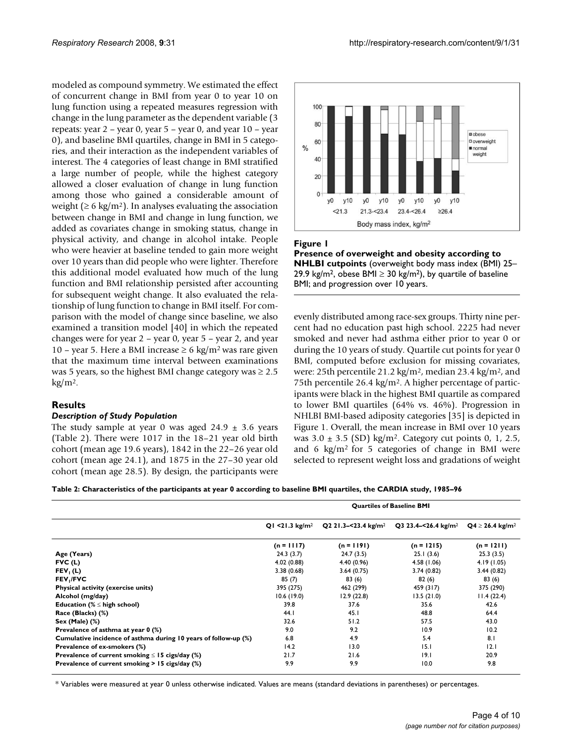modeled as compound symmetry. We estimated the effect of concurrent change in BMI from year 0 to year 10 on lung function using a repeated measures regression with change in the lung parameter as the dependent variable (3 repeats: year 2 – year 0, year 5 – year 0, and year 10 – year 0), and baseline BMI quartiles, change in BMI in 5 categories, and their interaction as the independent variables of interest. The 4 categories of least change in BMI stratified a large number of people, while the highest category allowed a closer evaluation of change in lung function among those who gained a considerable amount of weight ( $\geq 6$  kg/m<sup>2</sup>). In analyses evaluating the association between change in BMI and change in lung function, we added as covariates change in smoking status, change in physical activity, and change in alcohol intake. People who were heavier at baseline tended to gain more weight over 10 years than did people who were lighter. Therefore this additional model evaluated how much of the lung function and BMI relationship persisted after accounting for subsequent weight change. It also evaluated the relationship of lung function to change in BMI itself. For comparison with the model of change since baseline, we also examined a transition model [40] in which the repeated changes were for year 2 – year 0, year 5 – year 2, and year 10 – year 5. Here a BMI increase  $\geq 6 \text{ kg/m}^2$  was rare given that the maximum time interval between examinations was 5 years, so the highest BMI change category was  $\geq 2.5$  $kg/m<sup>2</sup>$ .

# **Results**

#### *Description of Study Population*

The study sample at year 0 was aged  $24.9 \pm 3.6$  years (Table 2). There were 1017 in the 18–21 year old birth cohort (mean age 19.6 years), 1842 in the 22–26 year old cohort (mean age 24.1), and 1875 in the 27–30 year old cohort (mean age 28.5). By design, the participants were





evenly distributed among race-sex groups. Thirty nine percent had no education past high school. 2225 had never smoked and never had asthma either prior to year 0 or during the 10 years of study. Quartile cut points for year 0 BMI, computed before exclusion for missing covariates, were: 25th percentile 21.2 kg/m2, median 23.4 kg/m2, and 75th percentile 26.4 kg/m2. A higher percentage of participants were black in the highest BMI quartile as compared to lower BMI quartiles (64% vs. 46%). Progression in NHLBI BMI-based adiposity categories [35] is depicted in Figure 1. Overall, the mean increase in BMI over 10 years was  $3.0 \pm 3.5$  (SD) kg/m<sup>2</sup>. Category cut points 0, 1, 2.5, and 6 kg/m2 for 5 categories of change in BMI were selected to represent weight loss and gradations of weight

**Table 2: Characteristics of the participants at year 0 according to baseline BMI quartiles, the CARDIA study, 1985–96**

|                                                                 | <b>Quartiles of Baseline BMI</b> |                                 |                                 |                              |  |
|-----------------------------------------------------------------|----------------------------------|---------------------------------|---------------------------------|------------------------------|--|
|                                                                 | Q1 <21.3 $kg/m2$                 | Q2 21.3-<23.4 kg/m <sup>2</sup> | Q3 23.4–<26.4 kg/m <sup>2</sup> | $Q4 \ge 26.4 \text{ kg/m}^2$ |  |
|                                                                 | $(n = 1117)$                     | $(n = 1191)$                    | $(n = 1215)$                    | $(n = 1211)$                 |  |
| Age (Years)                                                     | 24.3(3.7)                        | 24.7(3.5)                       | 25.1(3.6)                       | 25.3(3.5)                    |  |
| FVC(L)                                                          | 4.02 (0.88)                      | 4.40 (0.96)                     | 4.58 (1.06)                     | 4.19(1.05)                   |  |
| FEV <sub>1</sub> (L)                                            | 3.38(0.68)                       | 3.64(0.75)                      | 3.74(0.82)                      | 3.44(0.82)                   |  |
| FEV <sub>I</sub> /FVC                                           | 85(7)                            | 83(6)                           | 82(6)                           | 83(6)                        |  |
| Physical activity (exercise units)                              | 395 (275)                        | 462 (299)                       | 459 (317)                       | 375 (290)                    |  |
| Alcohol (mg/day)                                                | 10.6(19.0)                       | 12.9(22.8)                      | 13.5(21.0)                      | 11.4(22.4)                   |  |
| Education ( $\% \leq$ high school)                              | 39.8                             | 37.6                            | 35.6                            | 42.6                         |  |
| Race (Blacks) (%)                                               | 44.1                             | 45.1                            | 48.8                            | 64.4                         |  |
| Sex (Male) $(\%)$                                               | 32.6                             | 51.2                            | 57.5                            | 43.0                         |  |
| Prevalence of asthma at year 0 (%)                              | 9.0                              | 9.2                             | 10.9                            | 10.2                         |  |
| Cumulative incidence of asthma during 10 years of follow-up (%) | 6.8                              | 4.9                             | 5.4                             | 8.1                          |  |
| Prevalence of ex-smokers (%)                                    | 14.2                             | 13.0                            | 15.1                            | 12.1                         |  |
| Prevalence of current smoking $\leq$ 15 cigs/day (%)            | 21.7                             | 21.6                            | 19.1                            | 20.9                         |  |
| Prevalence of current smoking $> 15$ cigs/day (%)               | 9.9                              | 9.9                             | 10.0                            | 9.8                          |  |

\* Variables were measured at year 0 unless otherwise indicated. Values are means (standard deviations in parentheses) or percentages.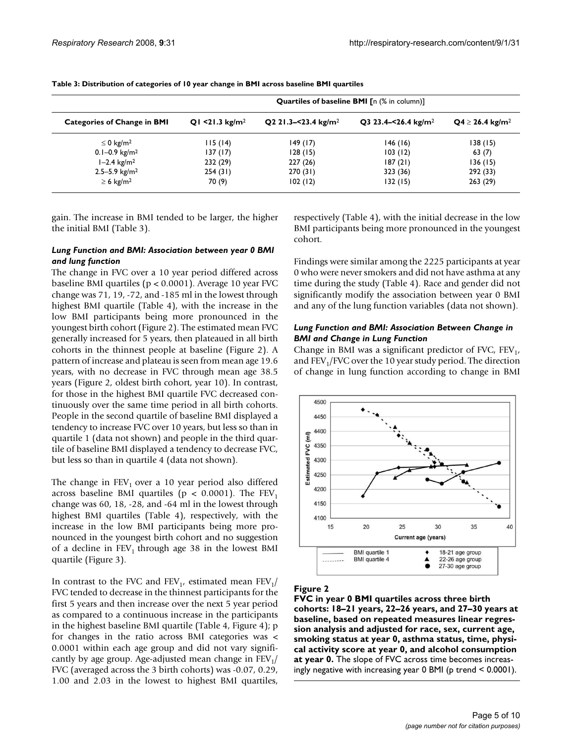|                                    | <b>Quartiles of baseline BMI</b> [n (% in column)] |                                 |                                 |                              |  |  |
|------------------------------------|----------------------------------------------------|---------------------------------|---------------------------------|------------------------------|--|--|
| <b>Categories of Change in BMI</b> | Q1 <21.3 $kg/m2$                                   | Q2 21.3-<23.4 kg/m <sup>2</sup> | Q3 23.4-<26.4 kg/m <sup>2</sup> | $Q4 \ge 26.4 \text{ kg/m}^2$ |  |  |
| $\leq$ 0 kg/m <sup>2</sup>         | 115(14)                                            | 149(17)                         | 146(16)                         | 138 (15)                     |  |  |
| $0.1 - 0.9$ kg/m <sup>2</sup>      | 137 (17)                                           | 128(15)                         | 103(12)                         | 63(7)                        |  |  |
| $1 - 2.4$ kg/m <sup>2</sup>        | 232 (29)                                           | 227(26)                         | 187(21)                         | 136 (15)                     |  |  |
| $2.5 - 5.9$ kg/m <sup>2</sup>      | 254(31)                                            | 270(31)                         | 323 (36)                        | 292 (33)                     |  |  |
| $\geq 6$ kg/m <sup>2</sup>         | 70 (9)                                             | 102(12)                         | 132(15)                         | 263(29)                      |  |  |

gain. The increase in BMI tended to be larger, the higher the initial BMI (Table 3).

#### *Lung Function and BMI: Association between year 0 BMI and lung function*

The change in FVC over a 10 year period differed across baseline BMI quartiles (p < 0.0001). Average 10 year FVC change was 71, 19, -72, and -185 ml in the lowest through highest BMI quartile (Table 4), with the increase in the low BMI participants being more pronounced in the youngest birth cohort (Figure 2). The estimated mean FVC generally increased for 5 years, then plateaued in all birth cohorts in the thinnest people at baseline (Figure 2). A pattern of increase and plateau is seen from mean age 19.6 years, with no decrease in FVC through mean age 38.5 years (Figure 2, oldest birth cohort, year 10). In contrast, for those in the highest BMI quartile FVC decreased continuously over the same time period in all birth cohorts. People in the second quartile of baseline BMI displayed a tendency to increase FVC over 10 years, but less so than in quartile 1 (data not shown) and people in the third quartile of baseline BMI displayed a tendency to decrease FVC, but less so than in quartile 4 (data not shown).

The change in  $FEV<sub>1</sub>$  over a 10 year period also differed across baseline BMI quartiles ( $p < 0.0001$ ). The FEV<sub>1</sub> change was 60, 18, -28, and -64 ml in the lowest through highest BMI quartiles (Table 4), respectively, with the increase in the low BMI participants being more pronounced in the youngest birth cohort and no suggestion of a decline in  $FEV<sub>1</sub>$  through age 38 in the lowest BMI quartile (Figure 3).

In contrast to the FVC and FEV<sub>1</sub>, estimated mean FEV<sub>1</sub>/ FVC tended to decrease in the thinnest participants for the first 5 years and then increase over the next 5 year period as compared to a continuous increase in the participants in the highest baseline BMI quartile (Table 4, Figure 4); p for changes in the ratio across BMI categories was < 0.0001 within each age group and did not vary significantly by age group. Age-adjusted mean change in  $FEV<sub>1</sub>/$ FVC (averaged across the 3 birth cohorts) was -0.07, 0.29, 1.00 and 2.03 in the lowest to highest BMI quartiles,

respectively (Table 4), with the initial decrease in the low BMI participants being more pronounced in the youngest cohort.

Findings were similar among the 2225 participants at year 0 who were never smokers and did not have asthma at any time during the study (Table 4). Race and gender did not significantly modify the association between year 0 BMI and any of the lung function variables (data not shown).

### *Lung Function and BMI: Association Between Change in BMI and Change in Lung Function*

Change in BMI was a significant predictor of FVC,  $FEV_1$ , and  $FEV<sub>1</sub>/FVC$  over the 10 year study period. The direction of change in lung function according to change in BMI



### **Figure 2**

**FVC in year 0 BMI quartiles across three birth cohorts: 18–21 years, 22–26 years, and 27–30 years at baseline, based on repeated measures linear regression analysis and adjusted for race, sex, current age, smoking status at year 0, asthma status, time, physical activity score at year 0, and alcohol consumption at year 0.** The slope of FVC across time becomes increasingly negative with increasing year 0 BMI (p trend < 0.0001).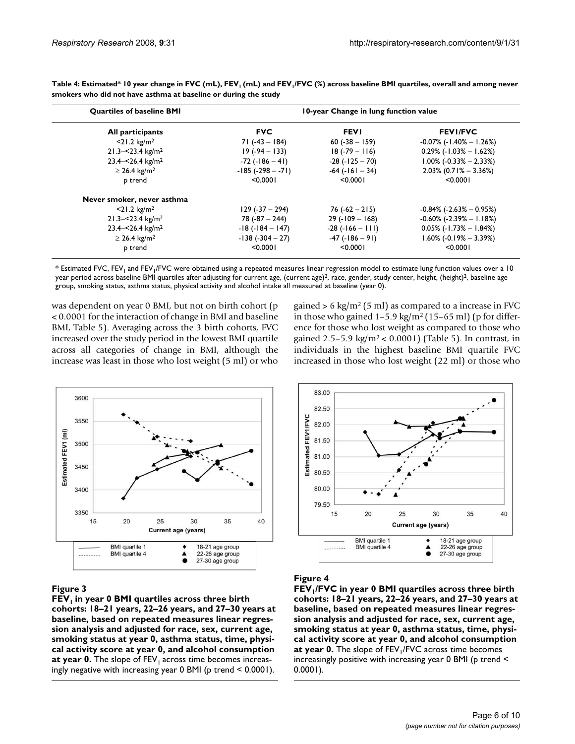| <b>Quartiles of baseline BMI</b><br>All participants | 10-year Change in lung function value |                        |                                   |  |
|------------------------------------------------------|---------------------------------------|------------------------|-----------------------------------|--|
|                                                      | <b>FVC</b>                            | <b>FEVI</b>            | <b>FEVI/FVC</b>                   |  |
| $<$ 21.2 kg/m <sup>2</sup>                           | 71 (-43 – 184)                        | $60(-38 - 159)$        | $-0.07\%$ (-1.40% $-1.26\%$ )     |  |
| $21.3 - 23.4$ kg/m <sup>2</sup>                      | $19(-94-133)$                         | $18(-79 - 116)$        | $0.29\%$ (-1.03% - 1.62%)         |  |
| $23.4 - 526.4$ kg/m <sup>2</sup>                     | $-72$ ( $-186 - 41$ )                 | $-28$ ( $-125 - 70$ )  | $1.00\%$ (-0.33% - 2.33%)         |  |
| $\geq$ 26.4 kg/m <sup>2</sup>                        | $-185$ ( $-298 - -71$ )               | $-64$ ( $-161 - 34$ )  | $2.03\%$ (0.71% - 3.36%)          |  |
| p trend                                              | < 0.0001                              | < 0.0001               | < 0.0001                          |  |
| Never smoker, never asthma                           |                                       |                        |                                   |  |
| $<$ 21.2 kg/m <sup>2</sup>                           | $129 (-37 - 294)$                     | $76(-62 - 215)$        | $-0.84\%$ ( $-2.63\%$ $-0.95\%$ ) |  |
| $21.3 - 23.4$ kg/m <sup>2</sup>                      | $78(-87 - 244)$                       | $29$ (-109 – 168)      | $-0.60\%$ (-2.39% $-1.18\%)$      |  |
| $23.4 - 526.4$ kg/m <sup>2</sup>                     | $-18(-184 - 147)$                     | $-28$ ( $-166 - 111$ ) | $0.05\%$ (-1.73% - 1.84%)         |  |
| $\geq$ 26.4 kg/m <sup>2</sup>                        | $-138(-304-27)$                       | $-47$ ( $-186 - 91$ )  | $1.60\%$ (-0.19% – 3.39%)         |  |
| p trend                                              | < 0.0001                              | < 0.0001               | < 0.0001                          |  |

Table 4: Estimated\* 10 year change in FVC (mL), FEV<sub>1</sub> (mL) and FEV<sub>1</sub>/FVC (%) across baseline BMI quartiles, overall and among never **smokers who did not have asthma at baseline or during the study**

 $*$  Estimated FVC, FEV<sub>1</sub> and FEV<sub>1</sub>/FVC were obtained using a repeated measures linear regression model to estimate lung function values over a 10 year period across baseline BMI quartiles after adjusting for current age, (current age)<sup>2</sup>, race, gender, study center, height, (height)<sup>2</sup>, baseline age group, smoking status, asthma status, physical activity and alcohol intake all measured at baseline (year 0).

was dependent on year 0 BMI, but not on birth cohort (p < 0.0001 for the interaction of change in BMI and baseline BMI, Table 5). Averaging across the 3 birth cohorts, FVC increased over the study period in the lowest BMI quartile across all categories of change in BMI, although the increase was least in those who lost weight (5 ml) or who gained  $> 6 \text{ kg/m}^2 (5 \text{ ml})$  as compared to a increase in FVC in those who gained  $1-5.9 \text{ kg/m}^2 (15-65 \text{ ml})$  (p for difference for those who lost weight as compared to those who gained 2.5–5.9 kg/m<sup>2</sup> < 0.0001) (Table 5). In contrast, in individuals in the highest baseline BMI quartile FVC increased in those who lost weight (22 ml) or those who



**Expansion Community Community Community Community FEV1 in year 0 BMI quartiles across three birth cohorts: 18–21 years, 22–26 years, and 27–30 years at baseline, based on repeated measures linear regression analysis and adjusted for race, sex, current age, smoking status at year 0, asthma status, time, physical activity score at year 0, and alcohol consumption**  at year 0. The slope of FEV<sub>1</sub> across time becomes increasingly negative with increasing year 0 BMI (p trend < 0.0001).



**Expansion Community Community Community Community FEV1/FVC in year 0 BMI quartiles across three birth cohorts: 18–21 years, 22–26 years, and 27–30 years at baseline, based on repeated measures linear regression analysis and adjusted for race, sex, current age, smoking status at year 0, asthma status, time, physical activity score at year 0, and alcohol consumption**  at year 0. The slope of FEV<sub>1</sub>/FVC across time becomes increasingly positive with increasing year 0 BMI (p trend < 0.0001).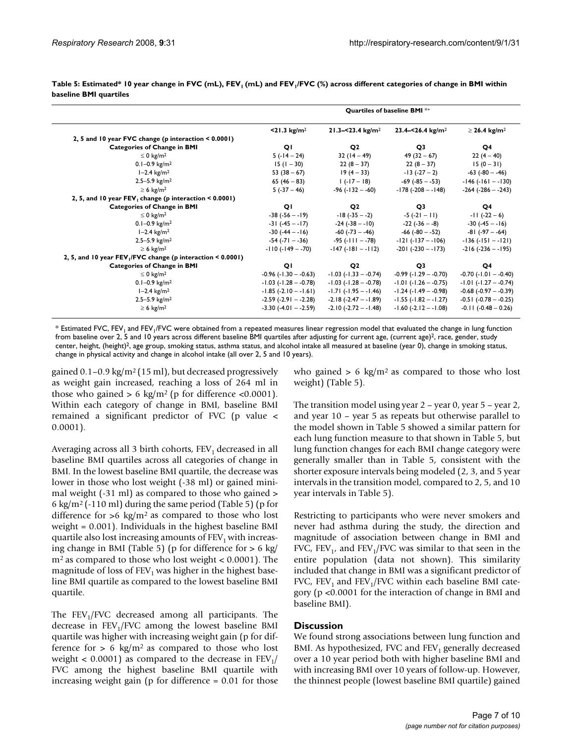|                                                            | Quartiles of baseline BMI <sup>*+</sup> |                             |                              |                               |
|------------------------------------------------------------|-----------------------------------------|-----------------------------|------------------------------|-------------------------------|
|                                                            | $<$ 21.3 kg/m <sup>2</sup>              | 21.3-<23.4 $kg/m2$          | 23.4-<26.4 kg/m <sup>2</sup> | $\geq$ 26.4 kg/m <sup>2</sup> |
| 2, 5 and 10 year FVC change (p interaction < 0.0001)       |                                         |                             |                              |                               |
| <b>Categories of Change in BMI</b>                         | QI                                      | Q <sub>2</sub>              | Q3                           | Q <sub>4</sub>                |
| $\leq 0$ kg/m <sup>2</sup>                                 | $5(-14-24)$                             | $32(14-49)$                 | $49(32-67)$                  | $22(4-40)$                    |
| $0.1 - 0.9$ kg/m <sup>2</sup>                              | $15(1 - 30)$                            | $22(8-37)$                  | $22(8-37)$                   | $15(0 - 31)$                  |
| $1 - 2.4$ kg/m <sup>2</sup>                                | 53 $(38 - 67)$                          | $19(4-33)$                  | $-13(-27-2)$                 | $-63$ ( $-80 - -46$ )         |
| $2.5 - 5.9$ kg/m <sup>2</sup>                              | $65(46-83)$                             | $1(-17-18)$                 | $-69$ ( $-85 - -53$ )        | $-146$ ( $-161 - -130$ )      |
| $\geq 6$ kg/m <sup>2</sup>                                 | $5(-37-46)$                             | $-96 (-132 - 60)$           | $-178(-208 - 148)$           | $-264$ ( $-286 - -243$ )      |
| 2, 5, and 10 year $FEV_1$ change (p interaction < 0.0001)  |                                         |                             |                              |                               |
| <b>Categories of Change in BMI</b>                         | QI                                      | Q <sub>2</sub>              | Q <sub>3</sub>               | Q4                            |
| $\leq 0$ kg/m <sup>2</sup>                                 | $-38(-56 - 19)$                         | $-18(-35 - -2)$             | $-5(-21-11)$                 | $-11(-22-6)$                  |
| $0.1 - 0.9$ kg/m <sup>2</sup>                              | $-31(-45 - 17)$                         | $-24(-38 - 10)$             | -22 (-36 – -8)               | $-30(-45 - 16)$               |
| $1 - 2.4$ kg/m <sup>2</sup>                                | $-30(-44 - 16)$                         | -60 (-73 – -46)             | $-66$ ( $-80 - -52$ )        | $-81 (-97 - -64)$             |
| $2.5 - 5.9$ kg/m <sup>2</sup>                              | -54 (-71 - -36)                         | -95 (-111 – -78)            | $-121(-137 - -106)$          | $-136(-151 - -121)$           |
| $\geq 6$ kg/m <sup>2</sup>                                 | $-110(-149 - -70)$                      | $-147(-181 - -112)$         | $-201$ ( $-230 - -173$ )     | $-216(-236 - -195)$           |
| 2, 5, and 10 year FEV, FVC change (p interaction < 0.0001) |                                         |                             |                              |                               |
| <b>Categories of Change in BMI</b>                         | QI                                      | O <sub>2</sub>              | Q <sub>3</sub>               | Q4                            |
| $\leq 0$ kg/m <sup>2</sup>                                 | $-0.96$ ( $-1.30 - -0.63$ )             | $-1.03$ ( $-1.33 - -0.74$ ) | $-0.99$ ( $-1.29 - -0.70$ )  | $-0.70$ ( $-1.01 - -0.40$ )   |
| $0.1 - 0.9$ kg/m <sup>2</sup>                              | $-1.03$ $(-1.28 - -0.78)$               | $-1.03$ $(-1.28 - 0.78)$    | $-1.01$ ( $-1.26 - -0.75$ )  | $-1.01$ $(-1.27 - -0.74)$     |
| $1 - 2.4$ kg/m <sup>2</sup>                                | $-1.85(-2.10 - -1.61)$                  | $-1.71$ ( $-1.95 - 1.46$ )  | $-1.24$ ( $-1.49 - 0.98$ )   | $-0.68$ $(-0.97 - -0.39)$     |
| $2.5 - 5.9$ kg/m <sup>2</sup>                              | $-2.59$ ( $-2.91 - -2.28$ )             | $-2.18(-2.47 - 1.89)$       | $-1.55$ ( $-1.82 - 1.27$ )   | $-0.51$ ( $-0.78 - -0.25$ )   |
| $\geq 6$ kg/m <sup>2</sup>                                 | $-3.30$ $(-4.01 - -2.59)$               | $-2.10(-2.72 - 1.48)$       | $-1.60$ $(-2.12 - -1.08)$    | $-0.11(-0.48 - 0.26)$         |

Table 5: Estimated\* 10 year change in FVC (mL), FEV<sub>1</sub> (mL) and FEV<sub>1</sub>/FVC (%) across different categories of change in BMI within **baseline BMI quartiles**

\* Estimated FVC, FEV<sub>1</sub> and FEV<sub>1</sub>/FVC were obtained from a repeated measures linear regression model that evaluated the change in lung function from baseline over 2, 5 and 10 years across different baseline BMI quartiles after adjusting for current age, (current age)<sup>2</sup>, race, gender, study center, height, (height)<sup>2</sup>, age group, smoking status, asthma status, and alcohol intake all measured at baseline (year 0), change in smoking status, change in physical activity and change in alcohol intake (all over 2, 5 and 10 years).

gained  $0.1$ – $0.9 \text{ kg/m}^2$  (15 ml), but decreased progressively as weight gain increased, reaching a loss of 264 ml in those who gained  $> 6 \text{ kg/m}^2$  (p for difference <0.0001). Within each category of change in BMI, baseline BMI remained a significant predictor of FVC (p value < 0.0001).

Averaging across all 3 birth cohorts,  $FEV<sub>1</sub>$  decreased in all baseline BMI quartiles across all categories of change in BMI. In the lowest baseline BMI quartile, the decrease was lower in those who lost weight (-38 ml) or gained minimal weight (-31 ml) as compared to those who gained > 6 kg/m<sup>2</sup> (-110 ml) during the same period (Table 5) (p for difference for  $>6 \text{ kg/m}^2$  as compared to those who lost weight = 0.001). Individuals in the highest baseline BMI quartile also lost increasing amounts of  $FEV<sub>1</sub>$  with increasing change in BMI (Table 5) (p for difference for > 6 kg/  $m<sup>2</sup>$  as compared to those who lost weight  $< 0.0001$ ). The magnitude of loss of  $FEV<sub>1</sub>$  was higher in the highest baseline BMI quartile as compared to the lowest baseline BMI quartile.

The  $FEV<sub>1</sub>/FVC$  decreased among all participants. The decrease in  $FEV<sub>1</sub>/FVC$  among the lowest baseline BMI quartile was higher with increasing weight gain (p for difference for  $> 6 \text{ kg/m}^2$  as compared to those who lost weight  $< 0.0001$ ) as compared to the decrease in FEV<sub>1</sub>/ FVC among the highest baseline BMI quartile with increasing weight gain (p for difference = 0.01 for those who gained  $> 6 \text{ kg/m}^2$  as compared to those who lost weight) (Table 5).

The transition model using year 2 – year 0, year 5 – year 2, and year 10 – year 5 as repeats but otherwise parallel to the model shown in Table 5 showed a similar pattern for each lung function measure to that shown in Table 5, but lung function changes for each BMI change category were generally smaller than in Table 5, consistent with the shorter exposure intervals being modeled (2, 3, and 5 year intervals in the transition model, compared to 2, 5, and 10 year intervals in Table 5).

Restricting to participants who were never smokers and never had asthma during the study, the direction and magnitude of association between change in BMI and FVC,  $FEV_1$ , and  $FEV_1/FVC$  was similar to that seen in the entire population (data not shown). This similarity included that change in BMI was a significant predictor of FVC,  $FEV_1$  and  $FEV_1/FVC$  within each baseline BMI category (p <0.0001 for the interaction of change in BMI and baseline BMI).

# **Discussion**

We found strong associations between lung function and BMI. As hypothesized, FVC and  $FEV<sub>1</sub>$  generally decreased over a 10 year period both with higher baseline BMI and with increasing BMI over 10 years of follow-up. However, the thinnest people (lowest baseline BMI quartile) gained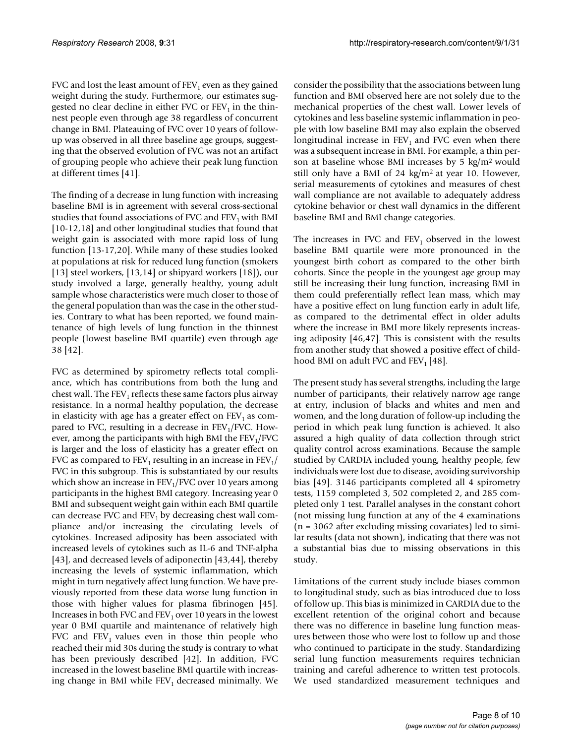FVC and lost the least amount of  $FEV<sub>1</sub>$  even as they gained weight during the study. Furthermore, our estimates suggested no clear decline in either FVC or  $FEV<sub>1</sub>$  in the thinnest people even through age 38 regardless of concurrent change in BMI. Plateauing of FVC over 10 years of followup was observed in all three baseline age groups, suggesting that the observed evolution of FVC was not an artifact of grouping people who achieve their peak lung function at different times [41].

The finding of a decrease in lung function with increasing baseline BMI is in agreement with several cross-sectional studies that found associations of FVC and  $FEV<sub>1</sub>$  with BMI [10-12,18] and other longitudinal studies that found that weight gain is associated with more rapid loss of lung function [13-17,20]. While many of these studies looked at populations at risk for reduced lung function (smokers [13] steel workers, [13,14] or shipyard workers [18]), our study involved a large, generally healthy, young adult sample whose characteristics were much closer to those of the general population than was the case in the other studies. Contrary to what has been reported, we found maintenance of high levels of lung function in the thinnest people (lowest baseline BMI quartile) even through age 38 [42].

FVC as determined by spirometry reflects total compliance, which has contributions from both the lung and chest wall. The  $FEV<sub>1</sub>$  reflects these same factors plus airway resistance. In a normal healthy population, the decrease in elasticity with age has a greater effect on  $FEV<sub>1</sub>$  as compared to FVC, resulting in a decrease in  $FEV<sub>1</sub>/FVC$ . However, among the participants with high BMI the  $FEV<sub>1</sub>/FVC$ is larger and the loss of elasticity has a greater effect on FVC as compared to  $FEV_1$  resulting in an increase in  $FEV_1/$ FVC in this subgroup. This is substantiated by our results which show an increase in  $FEV<sub>1</sub>/FVC$  over 10 years among participants in the highest BMI category. Increasing year 0 BMI and subsequent weight gain within each BMI quartile can decrease FVC and  $FEV<sub>1</sub>$  by decreasing chest wall compliance and/or increasing the circulating levels of cytokines. Increased adiposity has been associated with increased levels of cytokines such as IL-6 and TNF-alpha [43], and decreased levels of adiponectin [43,44], thereby increasing the levels of systemic inflammation, which might in turn negatively affect lung function. We have previously reported from these data worse lung function in those with higher values for plasma fibrinogen [45]. Increases in both FVC and  $FEV<sub>1</sub>$  over 10 years in the lowest year 0 BMI quartile and maintenance of relatively high FVC and  $FEV<sub>1</sub>$  values even in those thin people who reached their mid 30s during the study is contrary to what has been previously described [42]. In addition, FVC increased in the lowest baseline BMI quartile with increasing change in BMI while  $FEV<sub>1</sub>$  decreased minimally. We consider the possibility that the associations between lung function and BMI observed here are not solely due to the mechanical properties of the chest wall. Lower levels of cytokines and less baseline systemic inflammation in people with low baseline BMI may also explain the observed longitudinal increase in  $FEV<sub>1</sub>$  and FVC even when there was a subsequent increase in BMI. For example, a thin person at baseline whose BMI increases by 5 kg/m2 would still only have a BMI of 24  $\text{kg/m}^2$  at year 10. However, serial measurements of cytokines and measures of chest wall compliance are not available to adequately address cytokine behavior or chest wall dynamics in the different baseline BMI and BMI change categories.

The increases in FVC and  $FEV<sub>1</sub>$  observed in the lowest baseline BMI quartile were more pronounced in the youngest birth cohort as compared to the other birth cohorts. Since the people in the youngest age group may still be increasing their lung function, increasing BMI in them could preferentially reflect lean mass, which may have a positive effect on lung function early in adult life, as compared to the detrimental effect in older adults where the increase in BMI more likely represents increasing adiposity [46,47]. This is consistent with the results from another study that showed a positive effect of childhood BMI on adult FVC and  $FEV<sub>1</sub>$  [48].

The present study has several strengths, including the large number of participants, their relatively narrow age range at entry, inclusion of blacks and whites and men and women, and the long duration of follow-up including the period in which peak lung function is achieved. It also assured a high quality of data collection through strict quality control across examinations. Because the sample studied by CARDIA included young, healthy people, few individuals were lost due to disease, avoiding survivorship bias [49]. 3146 participants completed all 4 spirometry tests, 1159 completed 3, 502 completed 2, and 285 completed only 1 test. Parallel analyses in the constant cohort (not missing lung function at any of the 4 examinations (n = 3062 after excluding missing covariates) led to similar results (data not shown), indicating that there was not a substantial bias due to missing observations in this study.

Limitations of the current study include biases common to longitudinal study, such as bias introduced due to loss of follow up. This bias is minimized in CARDIA due to the excellent retention of the original cohort and because there was no difference in baseline lung function measures between those who were lost to follow up and those who continued to participate in the study. Standardizing serial lung function measurements requires technician training and careful adherence to written test protocols. We used standardized measurement techniques and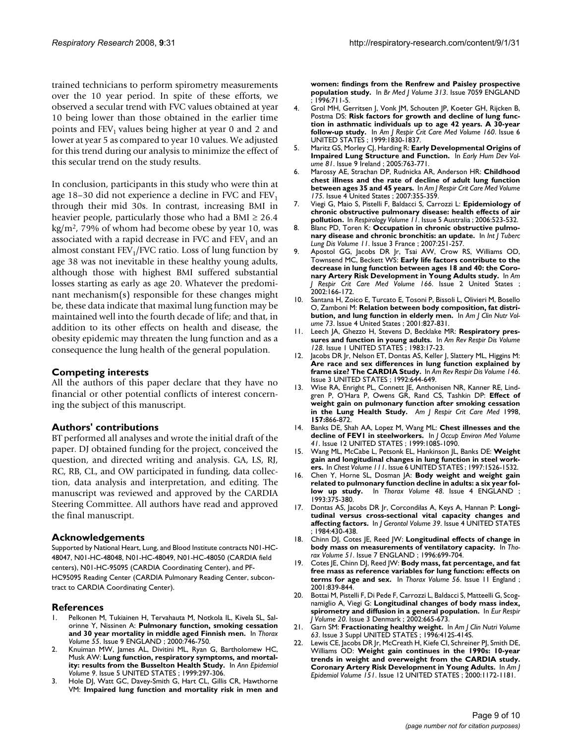trained technicians to perform spirometry measurements over the 10 year period. In spite of these efforts, we observed a secular trend with FVC values obtained at year 10 being lower than those obtained in the earlier time points and  $FEV<sub>1</sub>$  values being higher at year 0 and 2 and lower at year 5 as compared to year 10 values. We adjusted for this trend during our analysis to minimize the effect of this secular trend on the study results.

In conclusion, participants in this study who were thin at age 18–30 did not experience a decline in FVC and  $FEV<sub>1</sub>$ through their mid 30s. In contrast, increasing BMI in heavier people, particularly those who had a BMI  $\geq 26.4$  $\text{kg/m}^2$ , 79% of whom had become obese by year 10, was associated with a rapid decrease in FVC and  $FEV<sub>1</sub>$  and an almost constant  $FEV_1/FVC$  ratio. Loss of lung function by age 38 was not inevitable in these healthy young adults, although those with highest BMI suffered substantial losses starting as early as age 20. Whatever the predominant mechanism(s) responsible for these changes might be, these data indicate that maximal lung function may be maintained well into the fourth decade of life; and that, in addition to its other effects on health and disease, the obesity epidemic may threaten the lung function and as a consequence the lung health of the general population.

### **Competing interests**

All the authors of this paper declare that they have no financial or other potential conflicts of interest concerning the subject of this manuscript.

# **Authors' contributions**

BT performed all analyses and wrote the initial draft of the paper. DJ obtained funding for the project, conceived the question, and directed writing and analysis. GA, LS, RJ, RC, RB, CL, and OW participated in funding, data collection, data analysis and interpretation, and editing. The manuscript was reviewed and approved by the CARDIA Steering Committee. All authors have read and approved the final manuscript.

#### **Acknowledgements**

Supported by National Heart, Lung, and Blood Institute contracts N01-HC-48047, N01-HC-48048, N01-HC-48049, N01-HC-48050 (CARDIA field centers), N01-HC-95095 (CARDIA Coordinating Center), and PF-HC95095 Reading Center (CARDIA Pulmonary Reading Center, subcontract to CARDIA Coordinating Center).

#### **References**

- 1. Pelkonen M, Tukiainen H, Tervahauta M, Notkola IL, Kivela SL, Salorinne Y, Nissinen A: **[Pulmonary function, smoking cessation](http://www.ncbi.nlm.nih.gov/entrez/query.fcgi?cmd=Retrieve&db=PubMed&dopt=Abstract&list_uids=10950892) [and 30 year mortality in middle aged Finnish men.](http://www.ncbi.nlm.nih.gov/entrez/query.fcgi?cmd=Retrieve&db=PubMed&dopt=Abstract&list_uids=10950892)** In *Thorax Volume 55*. Issue 9 ENGLAND ; 2000:746-750.
- 2. Knuiman MW, James AL, Divitini ML, Ryan G, Bartholomew HC, Musk AW: **[Lung function, respiratory symptoms, and mortal](http://www.ncbi.nlm.nih.gov/entrez/query.fcgi?cmd=Retrieve&db=PubMed&dopt=Abstract&list_uids=10976856)[ity: results from the Busselton Health Study.](http://www.ncbi.nlm.nih.gov/entrez/query.fcgi?cmd=Retrieve&db=PubMed&dopt=Abstract&list_uids=10976856)** In *Ann Epidemiol Volume 9*. Issue 5 UNITED STATES ; 1999:297-306.
- Hole DJ, Watt GC, Davey-Smith G, Hart CL, Gillis CR, Hawthorne VM: **[Impaired lung function and mortality risk in men and](http://www.ncbi.nlm.nih.gov/entrez/query.fcgi?cmd=Retrieve&db=PubMed&dopt=Abstract&list_uids=8819439)**

**[women: findings from the Renfrew and Paisley prospective](http://www.ncbi.nlm.nih.gov/entrez/query.fcgi?cmd=Retrieve&db=PubMed&dopt=Abstract&list_uids=8819439) [population study.](http://www.ncbi.nlm.nih.gov/entrez/query.fcgi?cmd=Retrieve&db=PubMed&dopt=Abstract&list_uids=8819439)** In *Br Med J Volume 313*. Issue 7059 ENGLAND ; 1996:711-5.

- 4. Grol MH, Gerritsen J, Vonk JM, Schouten JP, Koeter GH, Rijcken B, Postma DS: **[Risk factors for growth and decline of lung func](http://www.ncbi.nlm.nih.gov/entrez/query.fcgi?cmd=Retrieve&db=PubMed&dopt=Abstract&list_uids=10588593)[tion in asthmatic individuals up to age 42 years. A 30-year](http://www.ncbi.nlm.nih.gov/entrez/query.fcgi?cmd=Retrieve&db=PubMed&dopt=Abstract&list_uids=10588593) [follow-up study.](http://www.ncbi.nlm.nih.gov/entrez/query.fcgi?cmd=Retrieve&db=PubMed&dopt=Abstract&list_uids=10588593)** In *Am J Respir Crit Care Med Volume 160*. Issue 6 UNITED STATES ; 1999:1830-1837.
- 5. Maritz GS, Morley CJ, Harding R: **[Early Developmental Origins of](http://www.ncbi.nlm.nih.gov/entrez/query.fcgi?cmd=Retrieve&db=PubMed&dopt=Abstract&list_uids=16081227) [Impaired Lung Structure and Function.](http://www.ncbi.nlm.nih.gov/entrez/query.fcgi?cmd=Retrieve&db=PubMed&dopt=Abstract&list_uids=16081227)** In *Early Hum Dev Volume 81*. Issue 9 Ireland ; 2005:763-771.
- 6. Marossy AE, Strachan DP, Rudnicka AR, Anderson HR: **[Childhood](http://www.ncbi.nlm.nih.gov/entrez/query.fcgi?cmd=Retrieve&db=PubMed&dopt=Abstract&list_uids=17023728) [chest illness and the rate of decline of adult lung function](http://www.ncbi.nlm.nih.gov/entrez/query.fcgi?cmd=Retrieve&db=PubMed&dopt=Abstract&list_uids=17023728) [between ages 35 and 45 years.](http://www.ncbi.nlm.nih.gov/entrez/query.fcgi?cmd=Retrieve&db=PubMed&dopt=Abstract&list_uids=17023728)** In *Am J Respir Crit Care Med Volume 175*. Issue 4 United States ; 2007:355-359.
- 7. Viegi G, Maio S, Pistelli F, Baldacci S, Carrozzi L: **[Epidemiology of](http://www.ncbi.nlm.nih.gov/entrez/query.fcgi?cmd=Retrieve&db=PubMed&dopt=Abstract&list_uids=16916323) [chronic obstructive pulmonary disease: health effects of air](http://www.ncbi.nlm.nih.gov/entrez/query.fcgi?cmd=Retrieve&db=PubMed&dopt=Abstract&list_uids=16916323) [pollution.](http://www.ncbi.nlm.nih.gov/entrez/query.fcgi?cmd=Retrieve&db=PubMed&dopt=Abstract&list_uids=16916323)** In *Respirology Volume 11*. Issue 5 Australia ; 2006:523-532.
- 8. Blanc PD, Toren K: [Occupation in chronic obstructive pulmo](http://www.ncbi.nlm.nih.gov/entrez/query.fcgi?cmd=Retrieve&db=PubMed&dopt=Abstract&list_uids=17352088)**[nary disease and chronic bronchitis: an update.](http://www.ncbi.nlm.nih.gov/entrez/query.fcgi?cmd=Retrieve&db=PubMed&dopt=Abstract&list_uids=17352088)** In *Int J Tuberc Lung Dis Volume 11*. Issue 3 France ; 2007:251-257.
- 9. Apostol GG, Jacobs DR Jr, Tsai AW, Crow RS, Williams OD, Townsend MC, Beckett WS: **[Early life factors contribute to the](http://www.ncbi.nlm.nih.gov/entrez/query.fcgi?cmd=Retrieve&db=PubMed&dopt=Abstract&list_uids=12119228) [decrease in lung function between ages 18 and 40: the Coro](http://www.ncbi.nlm.nih.gov/entrez/query.fcgi?cmd=Retrieve&db=PubMed&dopt=Abstract&list_uids=12119228)[nary Artery Risk Development in Young Adults study.](http://www.ncbi.nlm.nih.gov/entrez/query.fcgi?cmd=Retrieve&db=PubMed&dopt=Abstract&list_uids=12119228)** In *Am J Respir Crit Care Med Volume 166*. Issue 2 United States ; 2002:166-172.
- Santana H, Zoico E, Turcato E, Tosoni P, Bissoli L, Olivieri M, Bosello O, Zamboni M: **[Relation between body composition, fat distri](http://www.ncbi.nlm.nih.gov/entrez/query.fcgi?cmd=Retrieve&db=PubMed&dopt=Abstract&list_uids=11273860)[bution, and lung function in elderly men.](http://www.ncbi.nlm.nih.gov/entrez/query.fcgi?cmd=Retrieve&db=PubMed&dopt=Abstract&list_uids=11273860)** In *Am J Clin Nutr Volume 73*. Issue 4 United States ; 2001:827-831.
- 11. Leech JA, Ghezzo H, Stevens D, Becklake MR: **[Respiratory pres](http://www.ncbi.nlm.nih.gov/entrez/query.fcgi?cmd=Retrieve&db=PubMed&dopt=Abstract&list_uids=6870058)[sures and function in young adults.](http://www.ncbi.nlm.nih.gov/entrez/query.fcgi?cmd=Retrieve&db=PubMed&dopt=Abstract&list_uids=6870058)** In *Am Rev Respir Dis Volume 128*. Issue 1 UNITED STATES ; 1983:17-23.
- 12. Jacobs DR Jr, Nelson ET, Dontas AS, Keller J, Slattery ML, Higgins M: **[Are race and sex differences in lung function explained by](http://www.ncbi.nlm.nih.gov/entrez/query.fcgi?cmd=Retrieve&db=PubMed&dopt=Abstract&list_uids=1519841) [frame size? The CARDIA Study.](http://www.ncbi.nlm.nih.gov/entrez/query.fcgi?cmd=Retrieve&db=PubMed&dopt=Abstract&list_uids=1519841)** In *Am Rev Respir Dis Volume 146*. Issue 3 UNITED STATES ; 1992:644-649.
- 13. Wise RA, Enright PL, Connett JE, Anthonisen NR, Kanner RE, Lindgren P, O'Hara P, Owens GR, Rand CS, Tashkin DP: **[Effect of](http://www.ncbi.nlm.nih.gov/entrez/query.fcgi?cmd=Retrieve&db=PubMed&dopt=Abstract&list_uids=9517604) [weight gain on pulmonary function after smoking cessation](http://www.ncbi.nlm.nih.gov/entrez/query.fcgi?cmd=Retrieve&db=PubMed&dopt=Abstract&list_uids=9517604) [in the Lung Health Study.](http://www.ncbi.nlm.nih.gov/entrez/query.fcgi?cmd=Retrieve&db=PubMed&dopt=Abstract&list_uids=9517604)** *Am J Respir Crit Care Med* 1998, **157:**866-872.
- 14. Banks DE, Shah AA, Lopez M, Wang ML: **[Chest illnesses and the](http://www.ncbi.nlm.nih.gov/entrez/query.fcgi?cmd=Retrieve&db=PubMed&dopt=Abstract&list_uids=10609229) [decline of FEV1 in steelworkers.](http://www.ncbi.nlm.nih.gov/entrez/query.fcgi?cmd=Retrieve&db=PubMed&dopt=Abstract&list_uids=10609229)** In *J Occup Environ Med Volume 41*. Issue 12 UNITED STATES ; 1999:1085-1090.
- 15. Wang ML, McCabe L, Petsonk EL, Hankinson JL, Banks DE: **[Weight](http://www.ncbi.nlm.nih.gov/entrez/query.fcgi?cmd=Retrieve&db=PubMed&dopt=Abstract&list_uids=9187168) [gain and longitudinal changes in lung function in steel work](http://www.ncbi.nlm.nih.gov/entrez/query.fcgi?cmd=Retrieve&db=PubMed&dopt=Abstract&list_uids=9187168)[ers.](http://www.ncbi.nlm.nih.gov/entrez/query.fcgi?cmd=Retrieve&db=PubMed&dopt=Abstract&list_uids=9187168)** In *Chest Volume 111*. Issue 6 UNITED STATES ; 1997:1526-1532.
- 16. Chen Y, Horne SL, Dosman JA: **[Body weight and weight gain](http://www.ncbi.nlm.nih.gov/entrez/query.fcgi?cmd=Retrieve&db=PubMed&dopt=Abstract&list_uids=8511735) [related to pulmonary function decline in adults: a six year fol](http://www.ncbi.nlm.nih.gov/entrez/query.fcgi?cmd=Retrieve&db=PubMed&dopt=Abstract&list_uids=8511735)[low up study.](http://www.ncbi.nlm.nih.gov/entrez/query.fcgi?cmd=Retrieve&db=PubMed&dopt=Abstract&list_uids=8511735)** In *Thorax Volume 48*. Issue 4 ENGLAND ; 1993:375-380.
- 17. Dontas AS, Jacobs DR Jr, Corcondilas A, Keys A, Hannan P: **[Longi](http://www.ncbi.nlm.nih.gov/entrez/query.fcgi?cmd=Retrieve&db=PubMed&dopt=Abstract&list_uids=6610699)[tudinal versus cross-sectional vital capacity changes and](http://www.ncbi.nlm.nih.gov/entrez/query.fcgi?cmd=Retrieve&db=PubMed&dopt=Abstract&list_uids=6610699) [affecting factors.](http://www.ncbi.nlm.nih.gov/entrez/query.fcgi?cmd=Retrieve&db=PubMed&dopt=Abstract&list_uids=6610699)** In *J Gerontol Volume 39*. Issue 4 UNITED STATES ; 1984:430-438.
- 18. Chinn DJ, Cotes JE, Reed JW: **[Longitudinal effects of change in](http://www.ncbi.nlm.nih.gov/entrez/query.fcgi?cmd=Retrieve&db=PubMed&dopt=Abstract&list_uids=8882076) [body mass on measurements of ventilatory capacity.](http://www.ncbi.nlm.nih.gov/entrez/query.fcgi?cmd=Retrieve&db=PubMed&dopt=Abstract&list_uids=8882076)** In *Thorax Volume 51*. Issue 7 ENGLAND ; 1996:699-704.
- 19. Cotes JE, Chinn DJ, Reed JW: **[Body mass, fat percentage, and fat](http://www.ncbi.nlm.nih.gov/entrez/query.fcgi?cmd=Retrieve&db=PubMed&dopt=Abstract&list_uids=11641507) [free mass as reference variables for lung function: effects on](http://www.ncbi.nlm.nih.gov/entrez/query.fcgi?cmd=Retrieve&db=PubMed&dopt=Abstract&list_uids=11641507) [terms for age and sex.](http://www.ncbi.nlm.nih.gov/entrez/query.fcgi?cmd=Retrieve&db=PubMed&dopt=Abstract&list_uids=11641507)** In *Thorax Volume 56*. Issue 11 England ; 2001:839-844.
- 20. Bottai M, Pistelli F, Di Pede F, Carrozzi L, Baldacci S, Matteelli G, Scognamiglio A, Viegi G: **[Longitudinal changes of body mass index,](http://www.ncbi.nlm.nih.gov/entrez/query.fcgi?cmd=Retrieve&db=PubMed&dopt=Abstract&list_uids=12358345) [spirometry and diffusion in a general population.](http://www.ncbi.nlm.nih.gov/entrez/query.fcgi?cmd=Retrieve&db=PubMed&dopt=Abstract&list_uids=12358345)** In *Eur Respir J Volume 20*. Issue 3 Denmark ; 2002:665-673.
- 21. Garn SM: **[Fractionating healthy weight.](http://www.ncbi.nlm.nih.gov/entrez/query.fcgi?cmd=Retrieve&db=PubMed&dopt=Abstract&list_uids=8615330)** In *Am J Clin Nutri Volume 63*. Issue 3 Suppl UNITED STATES ; 1996:412S-414S.
- 22. Lewis CE, Jacobs DR Jr, McCreath H, Kiefe CI, Schreiner PJ, Smith DE, Williams OD: **[Weight gain continues in the 1990s: 10-year](http://www.ncbi.nlm.nih.gov/entrez/query.fcgi?cmd=Retrieve&db=PubMed&dopt=Abstract&list_uids=10905529) [trends in weight and overweight from the CARDIA study.](http://www.ncbi.nlm.nih.gov/entrez/query.fcgi?cmd=Retrieve&db=PubMed&dopt=Abstract&list_uids=10905529) [Coronary Artery Risk Development in Young Adults.](http://www.ncbi.nlm.nih.gov/entrez/query.fcgi?cmd=Retrieve&db=PubMed&dopt=Abstract&list_uids=10905529)** In *Am J Epidemiol Volume 151*. Issue 12 UNITED STATES ; 2000:1172-1181.